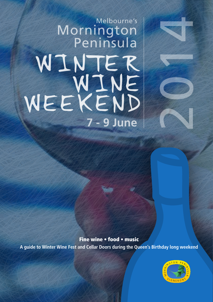# WINTER WINE WEEKEND Melbourne's Mornington Peninsula **7 - 9 June**

Fine wine • food • music

**A guide to Winter Wine Fest and Cellar Doors during the Queen's Birthday long weekend** 



2014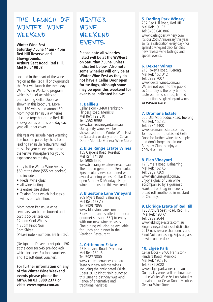## THE LAUNCH OF WINTER WINF WEEKEND

**Winter Wine Fest – Saturday 7 June 11am - 4pm Red Hill Reserve and Showgrounds. Arthurs Seat Road, Red Hill. Mel Ref: 190 J3**

Located in the heart of the wine region at the Red Hill Showgrounds the Fest will launch the three day Winter Wine Weekend program which is full of activities at participating Cellar Doors as shown in this brochure. More than 150 wines and around 50 Mornington Peninsula wineries all come together at the Red Hill Showgrounds on this one day each year, all under cover.

This year we include heart warming fine food prepared by chefs from leading Peninsula restaurants, and music for your enjoyment add to the festive atmosphere for you to experience on the day.

Entry to the Winter Wine Fest is \$60 at the door (\$55 pre booked) and includes:

- Riedel wine glass
- all wine tastings
- 2 entrée size dishes
- Tasting Book which includes all wines on exhibition.

Mornington Peninsula wine seminars can be pre booked and cost is \$5 per session: 12noon Cool Whites 1.30pm Pinot Noir 3pm Shiraz. (Please note - numbers are limited).

(Designated Drivers ticket price \$50 at the door (or \$45 pre-booked) which includes 2 x food vouchers and 1 x soft drink voucher).

**For further information on any of the Winter Wine Weekend events please phone the MPVA on 03 5989 2377 or visit: www.mpva.com.au**

### WINTER WINE WEEKEND EVENTS

**Please note all wineries listed will be at the WWFest on Saturday 7 June, unless indicated below. Also note some wineries will only be at Winter Wine Fest as they do not have a Cellar Door open for tastings, although some may be open this weekend for events as indicated below:**

#### **1. Baillieu**

Cellar Door - 3460 Frankston-Flinders Road, Merricks. Mel Ref: 192 E10 Tel: 5989 8088 www.baillieuvineyard.com.au Our quality wines will be showcased at the Winter Wine Fest on Saturday or daily at our Cellar Door - Merricks General Wine Store.

#### **2. Blue Range Estate Wines**

155 Gardens Road, Rosebud. Mel Ref: 171 B8 Tel: 5986 6560 www.bluerangeestatewines.com.au The hidden gem on the Peninsula. Spectacular views combined with award winning wines. Cellar Door open Sunday & Monday. Huge wine bargains for this weekend.

#### **3. Bluestone Lane Vineyard**

269 Myers Road, Balnarring. Mel Ref: 163 A7 Tel: 5989 7055 www.bluestonelane.com.au Bluestone Lane is offering a local gourmet sausage BBQ to enjoy with our new wine releases. Fine dining will also be available for lunch and dinner in the Veraison Restaurant.

#### **4. Crittenden Estate**

25 Harrisons Road, Dromana. Mel Ref: 160 J6 Tel: 5987 3800 www.crittendenwines.com.au Taste our new release wines including the anticipated Cri de Coeur 2012 Pinot Noir launched this Queen's birthday weekend. Range of alternative and traditional varieties.

#### **5. Darling Park Winery**

232 Red Hill Road, Red Hill. Mel Ref: 191 F3 Tel: 0400 040 806 www.darlingparkwinery.com It's our 25th Anniversary this year, so it's a celebration every day - for splendid vinevard deck lunches. new release wine tastings, and special events.

#### **6. Dexter Wines**

210 Foxey's Road, Tuerong. Mel Ref: 152 D12 Tel: 5989 7007 www.dexterwines.com.au We are not open to the public so Saturday is the only time to taste our hand crafted, limited production, single vineyard wines. *AT WWfest ONLY.*

#### **7. Dromana Estate**

555 Old Moorooduc Road, Tuerong. Mel Ref: 152 B2 Tel: 5974 4400 www.dromanaestate.com.au Join us at our refurbished Cellar Door for further wines to sample, and don't forget to join our Birthday Club to enjoy a 20% discount.

#### **8. Elan Vineyard**

17 Turners Road, Balnarring. Mel Ref: 162 K5 Tel: 5989 7209 www.elanvineyard.com.au Enjoy a glass of Elan wine accompanied by a gourmet Frankfurt or Snag in a crusty bread roll smothered in mustard or Chutney.

#### **9. Eldridge Estate of Red Hill**

120 Arthurs Seat Road, Red Hill. Mel Ref: 190 K4 Tel: 5989 2644 www.eldridge-estate.com.au Single vineyard wines of distinction. 2012 new release chardonnay and Pinot Noirs on tasting. Enjoy a glass of wine on the deck.

#### **10. Elgee Park**

Cellar Door - 3460 Frankston-Flinders Road, Merricks. Mel Ref: 192 E10 Tel: 5989 8088 www.elgeeparkwines.com.au Our quality wines will be showcased at the Winter Wine Fest on Saturday or daily at our Cellar Door - Merricks General Wine Store.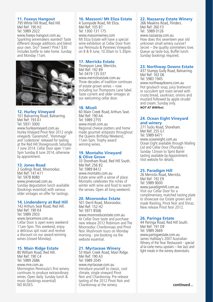#### **11. Foxeys Hangout**

795 White Hill Road, Red Hill. Mel Ref: 190 H2 Tel: 5989 2022 www.foxeys-hangout.com.au Sparkling winemakers wanted! Taste different dosage additions and blend your own. Dry? Sweet? Pink? \$30 includes bottle to take home. Sunday and Monday 11am.



#### **12. Hurley Vineyard**

101 Balnarring Road, Balnarring. Mel Ref: 193 A1 Tel: 5931 3000 www.hurleyvineyard.com.au Hurley Vineyard Pinot Noir 2012 single vineyards 'Garamond', 'Hommage' and 'Lodestone' released for tasting at the Red Hill Showgrounds Saturday 7 June 2014. Cellar Door open 11am-5pm Sunday 8 June 2014, otherwise by appointment.

#### **13. Jones Road**

2 Godings Road, Moorooduc. Mel Ref: 147 A11 Tel: 5978 8080 www.jonesroad.com.au Sunday degustation lunch available (bookings essential) with various older vintages on offer for tastings.

#### **14. Lindenderry at Red Hill**

142 Arthurs Seat Road, Red Hill. Mel Ref: 190 K4 Tel: 5989 2933 www.lancemore.com.au Cellar Door is open every weekend 11am-5pm. This weekend, enjoy a delicious spit roast and receive a discount on our award-winning wines (closed Monday).

#### **15. Main Ridge Estate**

80 William Road, Red Hill. Mel Ref: 190 C4 Tel: 5989 2686 www.mre.com.au Mornington Peninsula's first winery continues to produce extraordinary wines. Open daily. Sunday lunch & music (bookings essential) NO BUSES.

#### **16. Massoni/ Mt Eliza Estate**

4 Sunnyside Road, Mt Eliza. Mel Ref: 105 B7 Tel: 1300 131 175 www.massoniwines.com Mt Eliza Estate will have a special wine exhibition at Cellar Door from our Peninsula & Pyrenees Vineyards on 8 & 9 June, 10.30am to 5.30pm.

#### **17. Merricks Estate**

Thompson Lane, Merricks. Mel Ref: 192 B9 Tel: 0419 135 037 www.merricksestate.com.au. Three decades of tradition continues of estate grown wines – now including our Thompsons Lane label. Taste current and older vintages at our welcoming cellar door.

#### **18. Miceli**

60 Main Creek Road, Arthurs Seat. Mel Ref: 190 A4 Tel: 5989 2755 www.miceli.com.au Regional cheese platters and home made gourmet antipasto throughout the Queens Birthday Weekend, 11am-5pm. Trophy award winning wines.

#### **19. Montalto Vineyard & Olive Grove**

33 Shoreham Road, Red Hill South. Mel Ref: 256 B2 Tel: 5989 8412 www.montalto.com.au Estate wine with a sense of place. Montalto celebrates the riches of winter with wine and food to warm the senses. Open all long weekend.

#### **20. Moorooduc Estate**

501 Derril Road, Moorooduc. Mel Ref: 152 H2 Tel: 5971 8506 www.moorooducestate.com.au At Cellar Door taste and purchase new release 2012 Robinson and The Moorooduc Chardonnays and Pinot Noir. Mushroom tours on Monday morning - pre-booking via the website essential.

#### **21. Myrtaceae Winery**

53 Main Creek Road, Main Ridge. Mel Ref: 190 A3 Tel: 5989 2045 www.myrtaceae.com.au Introduce yourself to classic, cool climate, single vineyard Pinot Noir and Chardonnay. Pre-release tasting of the 2012 Pinot Noir and Chardonnay at the winery.

#### **22. Nazaaray Estate Winery**

266 Meakins Road, Flinders. Mel Ref: 260 F3 Tel: 5989 0126 www.nazaaray.com.au How does this seventeen year old unknown small winery survive? Secret – the quality sommeliers love. Queue up taste buy. Buffet lunch Sunday bookings required.

#### **23. Northway Downs Estate**

437 Stumpy Gully Road, Balnarring. Mel Ref: 163 D6 Tel: 5983 1945 www.northwaydowns.com.au Hot goulasch soup, juicy bratwurst or succulent spit roast served with crusty bread, saurkraut, onions and mustard followed by apple strudel and cream. Sunday only. *NOT AT WWfest.*

#### **24. Ocean Eight Vineyard and winery**

271 Tucks Road, Shoreham. Mel Ref: 255 G1 Tel: 5989 6471 www.oceaneight.com.au Ocean Eight available through Mailing List and Cellar Door (Thursday -Sunday 12noon to 5pm) Barrel tasting available by Appointment. Visit website for details.

#### **25. Paradigm Hill**

26 Merricks Road, Merricks. Mel Ref: 192 E9 Tel: 5989 9000 www.paradigmhill.com.au Visit our Cellar Door for a complimentary, matched tasting plate to showcase our Estate grown and made Riesling, Pinot Noir and Shiraz. New release Pinot Noir 2012.

#### **26. Paringa Estate**

44 Paringa Road, Red Hill South. Mel Ref: 191 D9 Tel: 5989 2669 www.paringaestate.com.au James Halliday's 2007 Australian Winery of the Year. Restaurant - special al-la-carte menu upstairs – live Jazz and light meals in the winery downstairs.

**continued...**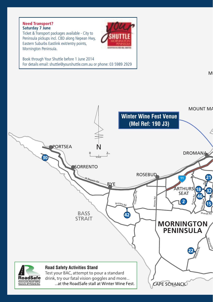#### **Saturday 7 June** Need Transport?

Ticket & Transport packages available - City to Peninsula pickups incl. CBD along Nepean Hwy, Eastern Suburbs Eastlink exit/entry points, Mornington Peninsula.



Book through Your Shuttle before 1 June 2014 For details email: shuttle@yourshuttle.com.au or phone: 03 5989 2929

 $\mathsf{M}$ 

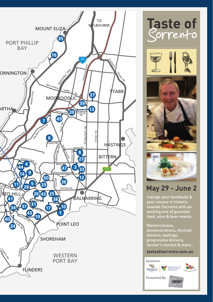







# **May 29 - June 2**

Indulge your tastebuds & vour senses in historic exciting mix of gourmet food, wine & beer events.

Masterclasses, demonstrations, themed dinners, tastings, progressive dinners, farmer's market & more...

#### tasteofsorrento.com.au

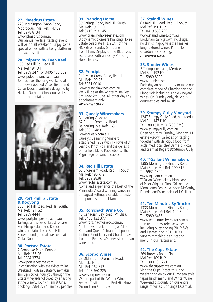#### **27. Phaedrus Estate**

220 Mornington-Tyabb Road, Moorooduc. Mel Ref: 147 E9 Tel: 5978 8134 www.phaedrus.com.au Our annual vertical tasting event will be on all weekend. Enjoy some special wines with a tasty platter in a relaxed setting.

#### **28. Polperro by Even Keel**

150 Red Hill Rd, Red Hill. Mel Ref 191 D4 Tel: 5989 2471 or 0405 155 882 www.polperrowines.com.au Join us over the long weekend at our newly opened Villas, Bistro and Cellar Door, beautifully designed by Hecker Guthrie. Check our website for further details*.*



#### **29. Port Phillip Estate & Kooyong**

263 Red Hill Road, Red Hill South. Mel Ref: 191 G2 Tel: 5989 4444 www.portphillipestate.com.au Tastings and sales of latest release Port Phillip Estate and Kooyong wines on Saturday at Red Hill Showgrounds, and all weekend at Cellar Door.

#### **30. Portsea Estate**

7 Pembroke Place, Portsea. Mel Ref: 156 E6 Tel: 5984 3774 www.portseaestate.com In conjunction with the Winter Wine Weekend, Portsea Estate Winemaker Tim Elphick will tour you through the Estate vineyards followed by a tasting at the winery. Tour - 11am 8 June, bookings 5984 3774 (limit 25 people).

#### **31. Prancing Horse**

39 Paringa Road, Red Hill South. Mel Ref: 191 C10 Tel: 0419 393 145 www.prancinghorseestate.com Biodynamic pioneers Prancing Horse Estate celebrate THE YEAR of the HORSE on Sunday 8th June from11am. Display of the BlueTrees sculptures with wines by Prancing Horse Estate.

#### **32. Principia**

139 Main Creek Road, Red Hill. Mel Ref: 190 A5 Tel: 5931 0010 www.principiawines.com.au We will be at the Winter Wine Fest Saturday 7th June. All other days by appointment only. *AT WWfest ONLY.*

#### **33. Quealy Winemakers** Balnarring Vineyard

62 Bittern-Dromana Road, Balnarring. Mel Ref: 163 C11 Tel: 5983 2483 www.quealy.com.au Quealy's Balnarring Vineyard established 1982 with 17 rows of 31 year old Pinot Noir and the genesis of our field blend Pobblebonk. The Pilgrimage for wine disciples.

#### **34. Red Hill Estate**

53 Shoreham Road, Red Hill South. Mel Ref: 190 K12 Tel: 5989 2838 www.redhillestate.com.au Come and experience the best of the Peninsula. Award winning wines in a magical setting, available to taste and purchase from 11am.

#### **35. Rorschach Wine Co.**

45 Canadian Bay Road, Mt Eliza. Tel: 0400 122 377 www.rorschachwineco.com.au "If June were a kingdom, we'd be King and Queen". Inaugural public tasting. Pinot Noir and Chardonnay from the Peninsula's newest one-man wine band.

#### **36. Scorpo Wines**

23 Old Bittern-Dromana Road, Merricks North. Mel Ref: 162 F12 Tel: 0407 360 225 www.scorpowines.com.au We are part of the Winter Wine Festival Tasting at the Red Hill Show Grounds on Saturday.

#### **37. Staindl Wines**

63 Red Hill Road, Red Hill South. Mel Ref: 190 K12 Tel: 0419 553 299 www.staindlwines.com.au Biodynamically grown, no drugs, no drinks, happy vines; all makes long textured wines, Pinot Noir, Chardonnay, Riesling.

*AT WWfest ONLY.*

#### **38. Stonier Wines**

2 Thompsons Lane, Merricks. Mel Ref: 192 F9 Tel: 5989 8300 www.stonier.com.au Each day an opportunity to taste our complete range of Chardonnay and Pinot Noir including single vineyard wines. On Sunday only, delicious gourmet pies and music.

#### **39. Stumpy Gully Vineyard**

1247 Stumpy Gully Road, Moorooduc. Mel Ref: 147 D10 Tel: 1800 STUMPY (788 679) www.stumpygully.com.au Open Saturday, Sunday, Monday: 11 estate -grown varieties on tasting, together with delicious food from acclaimed local chef Bernard Ricca and team at Regardz@Stumpy Gully.

#### **40. T'Gallant Winemakers**

1385 Mornington-Flinders Road, Main Ridge. Mel Ref: 190 E12 Tel: 5931 1300 www.tgallant.com.au T'Gallant Winemakers, birthplace of Pinot Grigio  $+$  Pinot Gris on the Mornington Peninsula. Kevin McCarthy, Founder and Winemaker of T'Gallant.

#### **41. Ten Minutes By Tractor**

1333 Mornington-Flinders Road, Main Ridge. Mel Ref: 190 E11 Tel: 5989 6455 www.tenminutesbytractor.com.au Join us for new release wines including outstanding 2012 SVs and Estates and 2013 10Xs. Superb matching degustation menu in our restaurant.

#### **42. The Cups Estate**

269 Browns Road, Fingal. Mel Ref: 169 B12 Tel: 1300 131 741 www.thecupsestate.com.au Visit the Cups Estate this long weekend to enjoy our European style tapas lunch menu and Winter Wine Weekend discounts on our entire range of wines. Bookings Essential.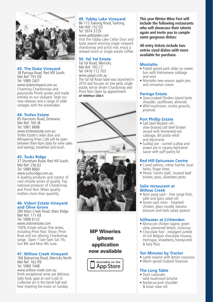

#### **43. The Duke Vineyard**

38 Paringa Road, Red Hill South. Mel Ref: 191 D9 Tel: 5989 2407 www.dukevineyard.com.au Charming Chardonnays and passionate Pinots grown and made entirely on our vineyard. Taste our new releases and a range of older vintages with the winemaker.

#### **44. Trofeo Estate**

85 Harrisons Road, Dromana. Mel Ref: 160 J8 Tel: 5981 8688 www.trofeoestate.com.au Trofeo Estate's cellar door and Whispering Vines Café will be open between 8am-6pm daily for wine sales and tastings, breakfast and lunch.

#### **45. Tucks Ridge**

37 Shoreham Road, Red Hill South. Mel Ref: 256 B2 Tel: 5989 8660 www.tucksridge.com.au A leading producer and creator of cool climate wines of quality. Top national producer of Chardonnay and Pinot Noir. When quality matters more than quantity.

#### **46. Vidoni Estate Vineyard and Olive Grove**

280 Main Creek Road, Main Ridge. Mel Ref: 171 K8 Tel: 5989 6132 www.vidoniestate.com 100% Estate artisan fine wines, including Pinot Noir, Shiraz, Pinot Rose and our alluring Chardonnay range. Open 11am-5pm Sat 7th, Sun 8th and Mon 9th June.

#### **47. Willow Creek Vineyard**

166 Balnarring Road, Merricks North. Mel Ref: 162 H9 Tel: 5989 7448 www.willow-creek.com.au Drink exceptional wine, eat delicious Salix food, gaze at cool Cook St Collective art in the barrel hall and hear inspiring live music on Sunday.

#### **49. Yabby Lake Vineyard**

86-112 Tuerong Road, Tuerong. Mel Ref: 152 D2 Tel: 5974 3729 www.yabbylake.com Visit the Yabby Lake Cellar Door and taste award-winning single vineyard chardonnay and pinot noir, enjoy a relaxed lunch or single estate coffee.

#### **50. Yal Yal Estate**

Yal Yal Road, Merricks. Mel Ref: 192 C7 Tel: 0416 112 703 www.yalyal.com.au The Yal Yal Road label was launched in 2010 and focuses on low yield, single estate, terroir driven Chardonnay and Pinot Noir. Open by appointment. *AT WWfest ONLY.*



MP Wineries iphone application now available



**This year Winter Wine Fest will include the following restaurants who will showcase their talents again and invite you to sample some gorgeous dishes:**

**All entry tickets include two entrée sized dishes with more available for purchase.**

#### **Montalto**

- Pulled spiced pork slider on sweet bun with Vietnamese cabbage and mint
- Montalto new season apple pies and cinnamon cream

#### **Paringa Estate**

- Slow-cooked Flinders Island lamb shoulder, cauliflower, almonds
- Wild mushroom, ricotta gnocchi, pinenuts

#### **Port Phillip Estate**

- • Salt beef Reuben roll slow-braised salt beef brisket served with fermented red cabbage, dill pickle relish and dijonnaise
- Scallop pie curried scallop and prawn pie in creamy béchamel sauce with puff pastry lid

#### **Red Hill Epicurean Centre**

- Cured salmon, crème fraiche, local herbs, finger limes
- Penne 'risotto style', braised beef brisket, peas, silverbeet pesto

#### **Salix restaurant at Willow Creek**

- Nom pang sach Free range Pork, pâté and spicy salad roll
- • Gnom sach moin Steamed chicken, glass noodle, banana blossom and herb salad, peanut

#### **Stillwater at Crittenden**

- Moroccan chicken tagine, green olive, preserved lemon, couscous
- Chocolate fool indulgent jumble of rich Belgian chocolate mousse, meringue, strawberry, honeycomb & fairy floss

#### **Ten Minutes by Tractor**

- Lamb navarin with lemon couscous
- Warm spiced rhubarb financier

#### **The Long Table**

- Duck cassoulet wild mushroom brioche
- Barbecue pork shoulder & Asian slaw roll